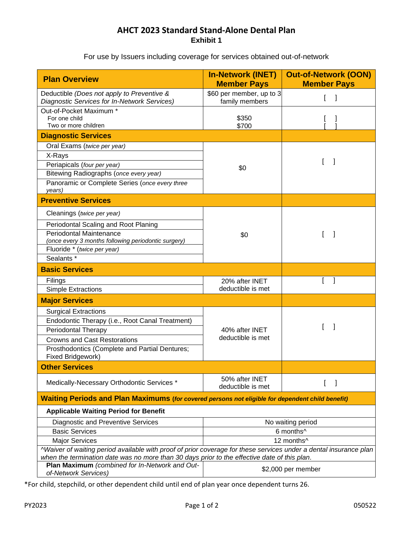## **AHCT 2023 Standard Stand-Alone Dental Plan Exhibit 1**

For use by Issuers including coverage for services obtained out-of-network

| <b>Plan Overview</b>                                                                                                                                                                                              | <b>In-Network (INET)</b><br><b>Member Pays</b> | <b>Out-of-Network (OON)</b><br><b>Member Pays</b> |
|-------------------------------------------------------------------------------------------------------------------------------------------------------------------------------------------------------------------|------------------------------------------------|---------------------------------------------------|
| Deductible (Does not apply to Preventive &<br>Diagnostic Services for In-Network Services)                                                                                                                        | \$60 per member, up to 3<br>family members     |                                                   |
| Out-of-Pocket Maximum *<br>For one child<br>Two or more children                                                                                                                                                  | \$350<br>\$700                                 |                                                   |
| <b>Diagnostic Services</b>                                                                                                                                                                                        |                                                |                                                   |
| Oral Exams (twice per year)                                                                                                                                                                                       | \$0                                            |                                                   |
| X-Rays                                                                                                                                                                                                            |                                                |                                                   |
| Periapicals (four per year)                                                                                                                                                                                       |                                                | I                                                 |
| Bitewing Radiographs (once every year)                                                                                                                                                                            |                                                |                                                   |
| Panoramic or Complete Series (once every three<br>years)                                                                                                                                                          |                                                |                                                   |
| <b>Preventive Services</b>                                                                                                                                                                                        |                                                |                                                   |
| Cleanings (twice per year)                                                                                                                                                                                        |                                                | 1                                                 |
| Periodontal Scaling and Root Planing                                                                                                                                                                              |                                                |                                                   |
| Periodontal Maintenance                                                                                                                                                                                           | \$0                                            |                                                   |
| (once every 3 months following periodontic surgery)                                                                                                                                                               |                                                |                                                   |
| Fluoride * (twice per year)                                                                                                                                                                                       |                                                |                                                   |
| Sealants *                                                                                                                                                                                                        |                                                |                                                   |
| <b>Basic Services</b>                                                                                                                                                                                             |                                                |                                                   |
| Filings                                                                                                                                                                                                           | 20% after INET                                 |                                                   |
| <b>Simple Extractions</b>                                                                                                                                                                                         | deductible is met                              |                                                   |
| <b>Major Services</b>                                                                                                                                                                                             |                                                |                                                   |
| <b>Surgical Extractions</b>                                                                                                                                                                                       |                                                |                                                   |
| Endodontic Therapy (i.e., Root Canal Treatment)                                                                                                                                                                   |                                                |                                                   |
| <b>Periodontal Therapy</b>                                                                                                                                                                                        | 40% after INET                                 |                                                   |
| <b>Crowns and Cast Restorations</b>                                                                                                                                                                               | deductible is met                              |                                                   |
| Prosthodontics (Complete and Partial Dentures;<br>Fixed Bridgework)                                                                                                                                               |                                                |                                                   |
| <b>Other Services</b>                                                                                                                                                                                             |                                                |                                                   |
| Medically-Necessary Orthodontic Services *                                                                                                                                                                        | 50% after INET<br>deductible is met            |                                                   |
| Waiting Periods and Plan Maximums (for covered persons not eligible for dependent child benefit)                                                                                                                  |                                                |                                                   |
| <b>Applicable Waiting Period for Benefit</b>                                                                                                                                                                      |                                                |                                                   |
| <b>Diagnostic and Preventive Services</b>                                                                                                                                                                         | No waiting period                              |                                                   |
| <b>Basic Services</b>                                                                                                                                                                                             | 6 months^                                      |                                                   |
| <b>Major Services</b>                                                                                                                                                                                             | 12 months^                                     |                                                   |
| ^Waiver of waiting period available with proof of prior coverage for these services under a dental insurance plan<br>when the termination date was no more than 30 days prior to the effective date of this plan. |                                                |                                                   |
| Plan Maximum (combined for In-Network and Out-<br>of-Network Services)                                                                                                                                            | \$2,000 per member                             |                                                   |

\*For child, stepchild, or other dependent child until end of plan year once dependent turns 26.